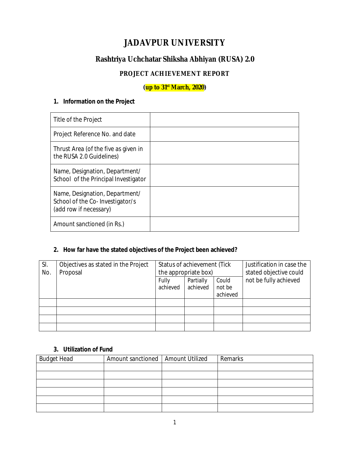# **JADAVPUR UNIVERSITY**

## **Rashtriya Uchchatar Shiksha Abhiyan (RUSA) 2.0**

## **PROJECT ACHIEVEMENT REPORT**

**(up to 31st March, 2020)**

### **1. Information on the Project**

| Title of the Project                                                                        |  |
|---------------------------------------------------------------------------------------------|--|
| Project Reference No. and date                                                              |  |
| Thrust Area (of the five as given in<br>the RUSA 2.0 Guidelines)                            |  |
| Name, Designation, Department/<br>School of the Principal Investigator                      |  |
| Name, Designation, Department/<br>School of the Co-Investigator/s<br>(add row if necessary) |  |
| Amount sanctioned (in Rs.)                                                                  |  |

#### **2. How far have the stated objectives of the Project been achieved?**

| SI.<br>No. | Objectives as stated in the Project<br>Proposal |                   | Status of achievement (Tick<br>the appropriate box) | Justification in case the<br>stated objective could |                       |  |
|------------|-------------------------------------------------|-------------------|-----------------------------------------------------|-----------------------------------------------------|-----------------------|--|
|            |                                                 | Fully<br>achieved | Partially<br>achieved                               | Could<br>not be<br>achieved                         | not be fully achieved |  |
|            |                                                 |                   |                                                     |                                                     |                       |  |
|            |                                                 |                   |                                                     |                                                     |                       |  |
|            |                                                 |                   |                                                     |                                                     |                       |  |
|            |                                                 |                   |                                                     |                                                     |                       |  |

#### **3. Utilization of Fund**

| <b>Budget Head</b> | Amount sanctioned   Amount Utilized | Remarks |
|--------------------|-------------------------------------|---------|
|                    |                                     |         |
|                    |                                     |         |
|                    |                                     |         |
|                    |                                     |         |
|                    |                                     |         |
|                    |                                     |         |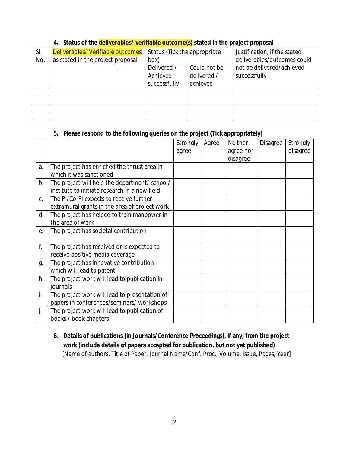| SI. | Deliverables/ Verifiable outcomes | Status (Tick the appropriate |              | Justification, if the stated |  |  |
|-----|-----------------------------------|------------------------------|--------------|------------------------------|--|--|
| No. | as stated in the project proposal | box)                         |              | deliverables/outcomes could  |  |  |
|     |                                   | Delivered /                  | Could not be | not be delivered/achieved    |  |  |
|     |                                   | Achieved                     | delivered /  | successfully                 |  |  |
|     |                                   | successfully                 | achieved     |                              |  |  |
|     |                                   |                              |              |                              |  |  |
|     |                                   |                              |              |                              |  |  |
|     |                                   |                              |              |                              |  |  |
|     |                                   |                              |              |                              |  |  |

#### **4. Status of the deliverables/ verifiable outcome(s) stated in the project proposal**

#### **5. Please respond to the following queries on the project (Tick appropriately)**

|    |                                               | Strongly | Agree | Neither   | Disagree | Strongly |
|----|-----------------------------------------------|----------|-------|-----------|----------|----------|
|    |                                               | agree    |       | agree nor |          | disagree |
|    |                                               |          |       | disagree  |          |          |
| a. | The project has enriched the thrust area in   |          |       |           |          |          |
|    | which it was sanctioned                       |          |       |           |          |          |
| b. | The project will help the department/ school/ |          |       |           |          |          |
|    | institute to initiate research in a new field |          |       |           |          |          |
| C. | The PI/Co-PI expects to receive further       |          |       |           |          |          |
|    | extramural grants in the area of project work |          |       |           |          |          |
| d. | The project has helped to train manpower in   |          |       |           |          |          |
|    | the area of work                              |          |       |           |          |          |
| е. | The project has societal contribution         |          |       |           |          |          |
|    |                                               |          |       |           |          |          |
| f. | The project has received or is expected to    |          |       |           |          |          |
|    | receive positive media coverage               |          |       |           |          |          |
| g. | The project has innovative contribution       |          |       |           |          |          |
|    | which will lead to patent                     |          |       |           |          |          |
| h. | The project work will lead to publication in  |          |       |           |          |          |
|    | journals                                      |          |       |           |          |          |
| İ. | The project work will lead to presentation of |          |       |           |          |          |
|    | papers in conferences/seminars/ workshops     |          |       |           |          |          |
| j. | The project work will lead to publication of  |          |       |           |          |          |
|    | books / book chapters                         |          |       |           |          |          |

**6. Details of publications (in Journals/Conference Proceedings), if any, from the project work (include details of papers accepted for publication, but not yet published)** [Name of authors, Title of Paper, *Journal Name/Conf. Proc*., Volume, Issue, Pages, Year]